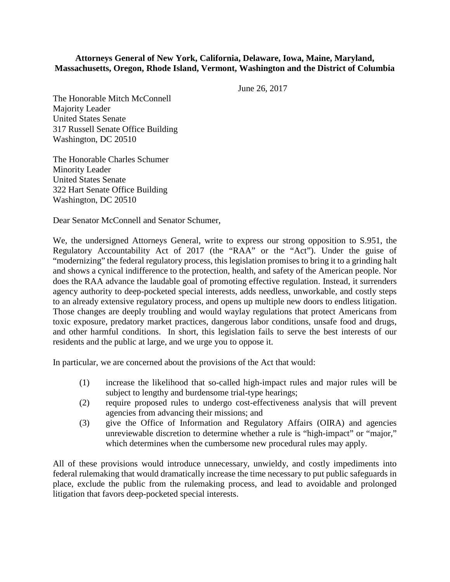## **Attorneys General of New York, California, Delaware, Iowa, Maine, Maryland, Massachusetts, Oregon, Rhode Island, Vermont, Washington and the District of Columbia**

June 26, 2017

The Honorable Mitch McConnell Majority Leader United States Senate 317 Russell Senate Office Building Washington, DC 20510

The Honorable Charles Schumer Minority Leader United States Senate 322 Hart Senate Office Building Washington, DC 20510

Dear Senator McConnell and Senator Schumer,

We, the undersigned Attorneys General, write to express our strong opposition to S.951, the Regulatory Accountability Act of 2017 (the "RAA" or the "Act"). Under the guise of "modernizing" the federal regulatory process, this legislation promises to bring it to a grinding halt and shows a cynical indifference to the protection, health, and safety of the American people. Nor does the RAA advance the laudable goal of promoting effective regulation. Instead, it surrenders agency authority to deep-pocketed special interests, adds needless, unworkable, and costly steps to an already extensive regulatory process, and opens up multiple new doors to endless litigation. Those changes are deeply troubling and would waylay regulations that protect Americans from toxic exposure, predatory market practices, dangerous labor conditions, unsafe food and drugs, and other harmful conditions. In short, this legislation fails to serve the best interests of our residents and the public at large, and we urge you to oppose it.

In particular, we are concerned about the provisions of the Act that would:

- (1) increase the likelihood that so-called high-impact rules and major rules will be subject to lengthy and burdensome trial-type hearings;
- (2) require proposed rules to undergo cost-effectiveness analysis that will prevent agencies from advancing their missions; and
- (3) give the Office of Information and Regulatory Affairs (OIRA) and agencies unreviewable discretion to determine whether a rule is "high-impact" or "major," which determines when the cumbersome new procedural rules may apply.

All of these provisions would introduce unnecessary, unwieldy, and costly impediments into federal rulemaking that would dramatically increase the time necessary to put public safeguards in place, exclude the public from the rulemaking process, and lead to avoidable and prolonged litigation that favors deep-pocketed special interests.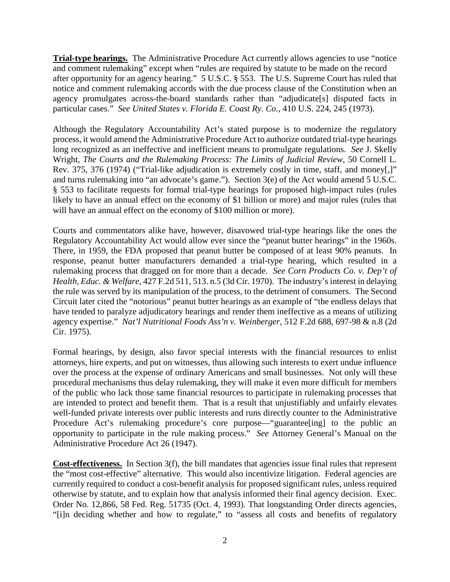**Trial-type hearings.**The Administrative Procedure Act currently allows agencies to use "notice and comment rulemaking" except when "rules are required by statute to be made on the record after opportunity for an agency hearing." 5 U.S.C. § 553. The U.S. Supreme Court has ruled that notice and comment rulemaking accords with the due process clause of the Constitution when an agency promulgates across-the-board standards rather than "adjudicate[s] disputed facts in particular cases." *See United States v. Florida E. Coast Ry. Co.*, 410 U.S. 224, 245 (1973).

Although the Regulatory Accountability Act's stated purpose is to modernize the regulatory process, it would amend the Administrative Procedure Act to authorize outdated trial-type hearings long recognized as an ineffective and inefficient means to promulgate regulations. *See* J. Skelly Wright, *The Courts and the Rulemaking Process: The Limits of Judicial Review*, 50 Cornell L. Rev. 375, 376 (1974) ("Trial-like adjudication is extremely costly in time, staff, and money[,]" and turns rulemaking into "an advocate's game."). Section 3(e) of the Act would amend 5 U.S.C. § 553 to facilitate requests for formal trial-type hearings for proposed high-impact rules (rules likely to have an annual effect on the economy of \$1 billion or more) and major rules (rules that will have an annual effect on the economy of \$100 million or more).

Courts and commentators alike have, however, disavowed trial-type hearings like the ones the Regulatory Accountability Act would allow ever since the "peanut butter hearings" in the 1960s. There, in 1959, the FDA proposed that peanut butter be composed of at least 90% peanuts. In response, peanut butter manufacturers demanded a trial-type hearing, which resulted in a rulemaking process that dragged on for more than a decade. *See Corn Products Co. v. Dep't of Health, Educ. & Welfare*, 427 F.2d 511, 513. n.5 (3d Cir. 1970). The industry's interest in delaying the rule was served by its manipulation of the process, to the detriment of consumers. The Second Circuit later cited the "notorious" peanut butter hearings as an example of "the endless delays that have tended to paralyze adjudicatory hearings and render them ineffective as a means of utilizing agency expertise." *Nat'l Nutritional Foods Ass'n v. Weinberger*, 512 F.2d 688, 697-98 & n.8 (2d Cir. 1975).

Formal hearings, by design, also favor special interests with the financial resources to enlist attorneys, hire experts, and put on witnesses, thus allowing such interests to exert undue influence over the process at the expense of ordinary Americans and small businesses. Not only will these procedural mechanisms thus delay rulemaking, they will make it even more difficult for members of the public who lack those same financial resources to participate in rulemaking processes that are intended to protect and benefit them. That is a result that unjustifiably and unfairly elevates well-funded private interests over public interests and runs directly counter to the Administrative Procedure Act's rulemaking procedure's core purpose—"guarantee[ing] to the public an opportunity to participate in the rule making process." *See* Attorney General's Manual on the Administrative Procedure Act 26 (1947).

**Cost-effectiveness.** In Section 3(f), the bill mandates that agencies issue final rules that represent the "most cost-effective" alternative. This would also incentivize litigation. Federal agencies are currently required to conduct a cost-benefit analysis for proposed significant rules, unless required otherwise by statute, and to explain how that analysis informed their final agency decision. Exec. Order No. 12,866, 58 Fed. Reg. 51735 (Oct. 4, 1993). That longstanding Order directs agencies, "[i]n deciding whether and how to regulate," to "assess all costs and benefits of regulatory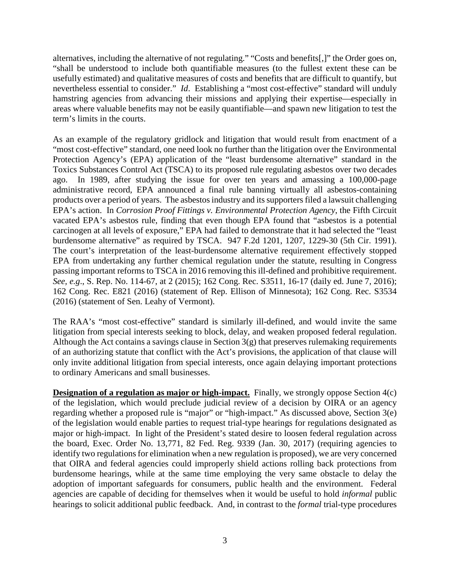alternatives, including the alternative of not regulating." "Costs and benefits[,]" the Order goes on, "shall be understood to include both quantifiable measures (to the fullest extent these can be usefully estimated) and qualitative measures of costs and benefits that are difficult to quantify, but nevertheless essential to consider." *Id*. Establishing a "most cost-effective" standard will unduly hamstring agencies from advancing their missions and applying their expertise—especially in areas where valuable benefits may not be easily quantifiable—and spawn new litigation to test the term's limits in the courts.

As an example of the regulatory gridlock and litigation that would result from enactment of a "most cost-effective" standard, one need look no further than the litigation over the Environmental Protection Agency's (EPA) application of the "least burdensome alternative" standard in the Toxics Substances Control Act (TSCA) to its proposed rule regulating asbestos over two decades ago. In 1989, after studying the issue for over ten years and amassing a 100,000-page administrative record, EPA announced a final rule banning virtually all asbestos-containing products over a period of years. The asbestos industry and its supporters filed a lawsuit challenging EPA's action. In *Corrosion Proof Fittings v. Environmental Protection Agency*, the Fifth Circuit vacated EPA's asbestos rule, finding that even though EPA found that "asbestos is a potential carcinogen at all levels of exposure," EPA had failed to demonstrate that it had selected the "least burdensome alternative" as required by TSCA. 947 F.2d 1201, 1207, 1229-30 (5th Cir. 1991). The court's interpretation of the least-burdensome alternative requirement effectively stopped EPA from undertaking any further chemical regulation under the statute, resulting in Congress passing important reforms to TSCA in 2016 removing this ill-defined and prohibitive requirement. *See, e.g.*, S. Rep. No. 114-67, at 2 (2015); 162 Cong. Rec. S3511, 16-17 (daily ed. June 7, 2016); 162 Cong. Rec. E821 (2016) (statement of Rep. Ellison of Minnesota); 162 Cong. Rec. S3534 (2016) (statement of Sen. Leahy of Vermont).

The RAA's "most cost-effective" standard is similarly ill-defined, and would invite the same litigation from special interests seeking to block, delay, and weaken proposed federal regulation. Although the Act contains a savings clause in Section  $3(g)$  that preserves rulemaking requirements of an authorizing statute that conflict with the Act's provisions, the application of that clause will only invite additional litigation from special interests, once again delaying important protections to ordinary Americans and small businesses.

**Designation of a regulation as major or high-impact.** Finally, we strongly oppose Section 4(c) of the legislation, which would preclude judicial review of a decision by OIRA or an agency regarding whether a proposed rule is "major" or "high-impact." As discussed above, Section 3(e) of the legislation would enable parties to request trial-type hearings for regulations designated as major or high-impact. In light of the President's stated desire to loosen federal regulation across the board, Exec. Order No. 13,771, 82 Fed. Reg. 9339 (Jan. 30, 2017) (requiring agencies to identify two regulations for elimination when a new regulation is proposed), we are very concerned that OIRA and federal agencies could improperly shield actions rolling back protections from burdensome hearings, while at the same time employing the very same obstacle to delay the adoption of important safeguards for consumers, public health and the environment. Federal agencies are capable of deciding for themselves when it would be useful to hold *informal* public hearings to solicit additional public feedback. And, in contrast to the *formal* trial-type procedures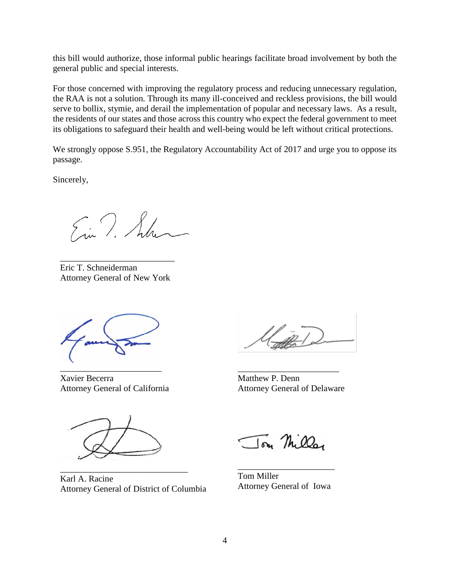this bill would authorize, those informal public hearings facilitate broad involvement by both the general public and special interests.

For those concerned with improving the regulatory process and reducing unnecessary regulation, the RAA is not a solution. Through its many ill-conceived and reckless provisions, the bill would serve to bollix, stymie, and derail the implementation of popular and necessary laws. As a result, the residents of our states and those across this country who expect the federal government to meet its obligations to safeguard their health and well-being would be left without critical protections.

We strongly oppose S.951, the Regulatory Accountability Act of 2017 and urge you to oppose its passage.

Sincerely,

Ein T. Sulve

\_\_\_\_\_\_\_\_\_\_\_\_\_\_\_\_\_\_\_\_\_\_\_\_\_\_ Eric T. Schneiderman Attorney General of New York

\_\_\_\_\_\_\_\_\_\_\_\_\_\_\_\_\_\_\_\_\_\_\_ Xavier Becerra Attorney General of California

\_\_\_\_\_\_\_\_\_\_\_\_\_\_\_\_\_\_\_\_\_\_\_ Matthew P. Denn Attorney General of Delaware

Ton Miller

\_\_\_\_\_\_\_\_\_\_\_\_\_\_\_\_\_\_\_\_\_\_\_\_\_\_\_\_\_ Karl A. Racine Attorney General of District of Columbia

\_\_\_\_\_\_\_\_\_\_\_\_\_\_\_\_\_\_\_\_\_\_ Tom Miller Attorney General of Iowa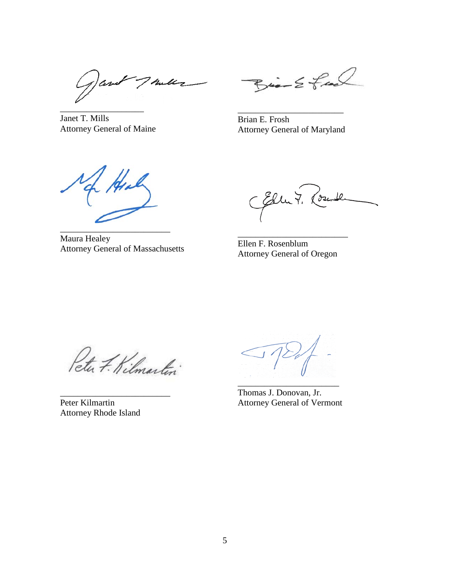7 hull '|ar \_\_\_\_\_\_\_\_\_\_\_\_\_\_\_\_\_\_\_

Janet T. Mills Attorney General of Maine

 $Bia-2$  feed

Brian E. Frosh Attorney General of Maryland

\_\_\_\_\_\_\_\_\_\_\_\_\_\_\_\_\_\_\_\_\_\_\_\_

He \_\_\_\_\_\_\_\_\_\_\_\_\_\_\_\_\_\_\_\_\_\_\_\_\_

Maura Healey Attorney General of Massachusetts

CEllut. ( ∂•z

Ellen F. Rosenblum Attorney General of Oregon

\_\_\_\_\_\_\_\_\_\_\_\_\_\_\_\_\_\_\_\_\_\_\_\_\_

Peter F. Kilmartin

\_\_\_\_\_\_\_\_\_\_\_\_\_\_\_\_\_\_\_\_\_\_\_\_\_ Peter Kilmartin Attorney Rhode Island

Thomas J. Donovan, Jr. Attorney General of Vermont

\_\_\_\_\_\_\_\_\_\_\_\_\_\_\_\_\_\_\_\_\_\_\_